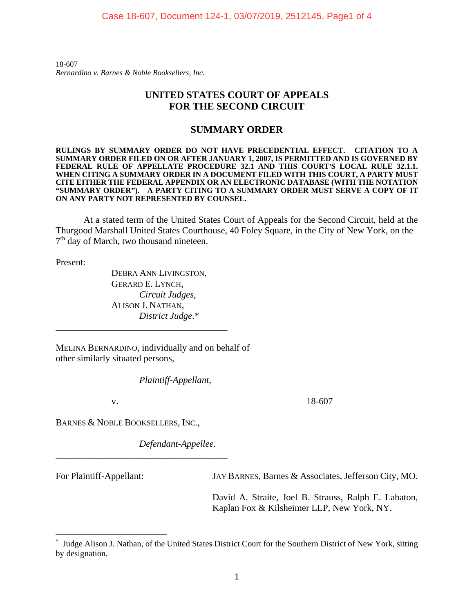18-607 *Bernardino v. Barnes & Noble Booksellers, Inc.*

## **UNITED STATES COURT OF APPEALS FOR THE SECOND CIRCUIT**

### **SUMMARY ORDER**

**RULINGS BY SUMMARY ORDER DO NOT HAVE PRECEDENTIAL EFFECT. CITATION TO A SUMMARY ORDER FILED ON OR AFTER JANUARY 1, 2007, IS PERMITTED AND IS GOVERNED BY**  FEDERAL RULE OF APPELLATE PROCEDURE 32.1 AND THIS COURT'S LOCAL RULE 32.1.1. **WHEN CITING A SUMMARY ORDER IN A DOCUMENT FILED WITH THIS COURT, A PARTY MUST CITE EITHER THE FEDERAL APPENDIX OR AN ELECTRONIC DATABASE (WITH THE NOTATION "SUMMARY ORDER"). A PARTY CITING TO A SUMMARY ORDER MUST SERVE A COPY OF IT ON ANY PARTY NOT REPRESENTED BY COUNSEL.** 

At a stated term of the United States Court of Appeals for the Second Circuit, held at the Thurgood Marshall United States Courthouse, 40 Foley Square, in the City of New York, on the 7th day of March, two thousand nineteen.

Present:

DEBRA ANN LIVINGSTON, GERARD E. LYNCH,  *Circuit Judges*, ALISON J. NATHAN,  *District Judge*.\*

MELINA BERNARDINO, individually and on behalf of other similarly situated persons,

\_\_\_\_\_\_\_\_\_\_\_\_\_\_\_\_\_\_\_\_\_\_\_\_\_\_\_\_\_\_\_\_\_\_\_\_\_

 *Plaintiff-Appellant*,

v. 18-607

BARNES & NOBLE BOOKSELLERS, INC.,

\_\_\_\_\_\_\_\_\_\_\_\_\_\_\_\_\_\_\_\_\_\_\_\_\_\_\_\_\_\_\_\_\_\_\_\_\_

 *Defendant-Appellee*.

 $\overline{a}$ 

For Plaintiff-Appellant: JAY BARNES, Barnes & Associates, Jefferson City, MO.

 David A. Straite, Joel B. Strauss, Ralph E. Labaton, Kaplan Fox & Kilsheimer LLP, New York, NY.

<sup>\*</sup> Judge Alison J. Nathan, of the United States District Court for the Southern District of New York, sitting by designation.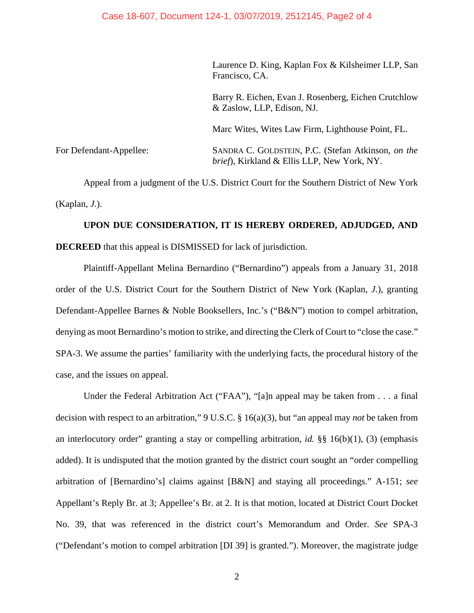Laurence D. King, Kaplan Fox & Kilsheimer LLP, San Francisco, CA.

 Barry R. Eichen, Evan J. Rosenberg, Eichen Crutchlow & Zaslow, LLP, Edison, NJ.

Marc Wites, Wites Law Firm, Lighthouse Point, FL.

For Defendant-Appellee: SANDRA C. GOLDSTEIN, P.C. (Stefan Atkinson, *on the brief*), Kirkland & Ellis LLP, New York, NY.

Appeal from a judgment of the U.S. District Court for the Southern District of New York (Kaplan, *J*.).

# **UPON DUE CONSIDERATION, IT IS HEREBY ORDERED, ADJUDGED, AND DECREED** that this appeal is DISMISSED for lack of jurisdiction.

Plaintiff-Appellant Melina Bernardino ("Bernardino") appeals from a January 31, 2018 order of the U.S. District Court for the Southern District of New York (Kaplan, *J*.), granting Defendant-Appellee Barnes & Noble Booksellers, Inc.'s ("B&N") motion to compel arbitration, denying as moot Bernardino's motion to strike, and directing the Clerk of Court to "close the case." SPA-3. We assume the parties' familiarity with the underlying facts, the procedural history of the case, and the issues on appeal.

Under the Federal Arbitration Act ("FAA"), "[a]n appeal may be taken from . . . a final decision with respect to an arbitration," 9 U.S.C. § 16(a)(3), but "an appeal may *not* be taken from an interlocutory order" granting a stay or compelling arbitration, *id.* §§ 16(b)(1), (3) (emphasis added). It is undisputed that the motion granted by the district court sought an "order compelling arbitration of [Bernardino's] claims against [B&N] and staying all proceedings." A-151; *see*  Appellant's Reply Br. at 3; Appellee's Br. at 2. It is that motion, located at District Court Docket No. 39, that was referenced in the district court's Memorandum and Order. *See* SPA-3 ("Defendant's motion to compel arbitration [DI 39] is granted."). Moreover, the magistrate judge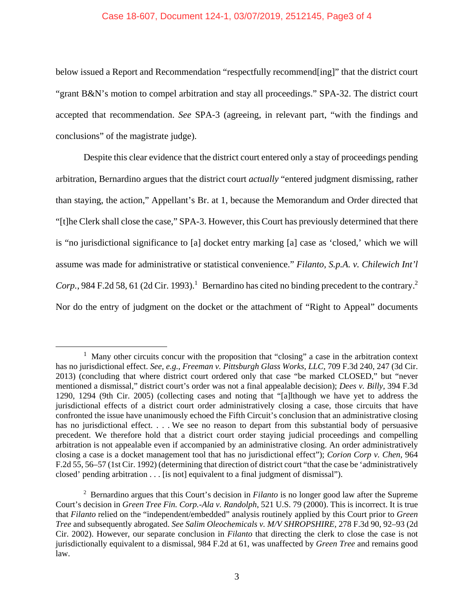#### Case 18-607, Document 124-1, 03/07/2019, 2512145, Page3 of 4

below issued a Report and Recommendation "respectfully recommend[ing]" that the district court "grant B&N's motion to compel arbitration and stay all proceedings." SPA-32. The district court accepted that recommendation. *See* SPA-3 (agreeing, in relevant part, "with the findings and conclusions" of the magistrate judge).

Despite this clear evidence that the district court entered only a stay of proceedings pending arbitration, Bernardino argues that the district court *actually* "entered judgment dismissing, rather than staying, the action," Appellant's Br. at 1, because the Memorandum and Order directed that "[t]he Clerk shall close the case," SPA-3. However, this Court has previously determined that there is "no jurisdictional significance to [a] docket entry marking [a] case as 'closed,' which we will assume was made for administrative or statistical convenience." *Filanto, S.p.A. v. Chilewich Int'l*   $Corp.$ , 984 F.2d 58, 61 (2d Cir. 1993).<sup>1</sup> Bernardino has cited no binding precedent to the contrary.<sup>2</sup> Nor do the entry of judgment on the docket or the attachment of "Right to Appeal" documents

<sup>&</sup>lt;sup>1</sup> Many other circuits concur with the proposition that "closing" a case in the arbitration context has no jurisdictional effect. *See, e.g.*, *Freeman v. Pittsburgh Glass Works, LLC*, 709 F.3d 240, 247 (3d Cir. 2013) (concluding that where district court ordered only that case "be marked CLOSED," but "never mentioned a dismissal," district court's order was not a final appealable decision); *Dees v. Billy*, 394 F.3d 1290, 1294 (9th Cir. 2005) (collecting cases and noting that "[a]lthough we have yet to address the jurisdictional effects of a district court order administratively closing a case, those circuits that have confronted the issue have unanimously echoed the Fifth Circuit's conclusion that an administrative closing has no jurisdictional effect. . . . We see no reason to depart from this substantial body of persuasive precedent. We therefore hold that a district court order staying judicial proceedings and compelling arbitration is not appealable even if accompanied by an administrative closing. An order administratively closing a case is a docket management tool that has no jurisdictional effect"); *Corion Corp v. Chen*, 964 F.2d 55, 56–57 (1st Cir. 1992) (determining that direction of district court "that the case be 'administratively closed' pending arbitration . . . [is not] equivalent to a final judgment of dismissal").

<sup>2</sup> Bernardino argues that this Court's decision in *Filanto* is no longer good law after the Supreme Court's decision in *Green Tree Fin. Corp.-Ala v. Randolph*, 521 U.S. 79 (2000). This is incorrect. It is true that *Filanto* relied on the "independent/embedded" analysis routinely applied by this Court prior to *Green Tree* and subsequently abrogated. *See Salim Oleochemicals v. M/V SHROPSHIRE*, 278 F.3d 90, 92–93 (2d Cir. 2002). However, our separate conclusion in *Filanto* that directing the clerk to close the case is not jurisdictionally equivalent to a dismissal, 984 F.2d at 61, was unaffected by *Green Tree* and remains good law.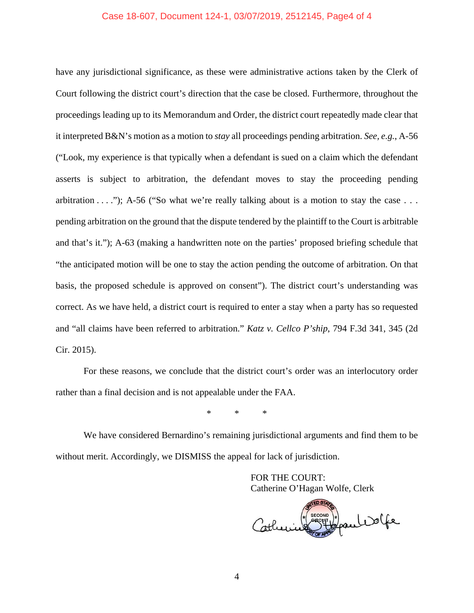#### Case 18-607, Document 124-1, 03/07/2019, 2512145, Page4 of 4

have any jurisdictional significance, as these were administrative actions taken by the Clerk of Court following the district court's direction that the case be closed. Furthermore, throughout the proceedings leading up to its Memorandum and Order, the district court repeatedly made clear that it interpreted B&N's motion as a motion to *stay* all proceedings pending arbitration. *See, e.g.*, A-56 ("Look, my experience is that typically when a defendant is sued on a claim which the defendant asserts is subject to arbitration, the defendant moves to stay the proceeding pending arbitration  $\dots$  "); A-56 ("So what we're really talking about is a motion to stay the case  $\dots$ pending arbitration on the ground that the dispute tendered by the plaintiff to the Court is arbitrable and that's it."); A-63 (making a handwritten note on the parties' proposed briefing schedule that "the anticipated motion will be one to stay the action pending the outcome of arbitration. On that basis, the proposed schedule is approved on consent"). The district court's understanding was correct. As we have held, a district court is required to enter a stay when a party has so requested and "all claims have been referred to arbitration." *Katz v. Cellco P'ship*, 794 F.3d 341, 345 (2d Cir. 2015).

For these reasons, we conclude that the district court's order was an interlocutory order rather than a final decision and is not appealable under the FAA.

\* \* \*

We have considered Bernardino's remaining jurisdictional arguments and find them to be without merit. Accordingly, we DISMISS the appeal for lack of jurisdiction.

> FOR THE COURT: Catherine O'Hagan Wolfe, Clerk

SECOND ) paul DOGE Catherin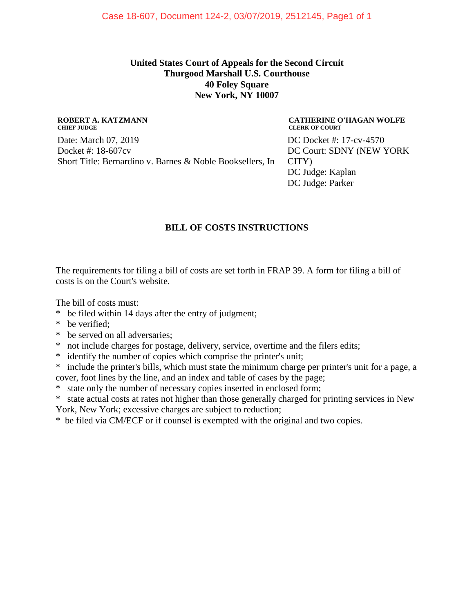### **United States Court of Appeals for the Second Circuit Thurgood Marshall U.S. Courthouse 40 Foley Square New York, NY 10007**

#### **ROBERT A. KATZMANN CHIEF JUDGE**

Date: March 07, 2019 Docket #: 18-607cv Short Title: Bernardino v. Barnes & Noble Booksellers, In

#### **CATHERINE O'HAGAN WOLFE CLERK OF COURT**

DC Docket #: 17-cv-4570 DC Court: SDNY (NEW YORK CITY) DC Judge: Kaplan DC Judge: Parker

# **BILL OF COSTS INSTRUCTIONS**

The requirements for filing a bill of costs are set forth in FRAP 39. A form for filing a bill of costs is on the Court's website.

The bill of costs must:

- \* be filed within 14 days after the entry of judgment;
- \* be verified;
- \* be served on all adversaries;
- \* not include charges for postage, delivery, service, overtime and the filers edits;
- \* identify the number of copies which comprise the printer's unit;
- \* include the printer's bills, which must state the minimum charge per printer's unit for a page, a cover, foot lines by the line, and an index and table of cases by the page;
- \* state only the number of necessary copies inserted in enclosed form;

\* state actual costs at rates not higher than those generally charged for printing services in New York, New York; excessive charges are subject to reduction;

\* be filed via CM/ECF or if counsel is exempted with the original and two copies.